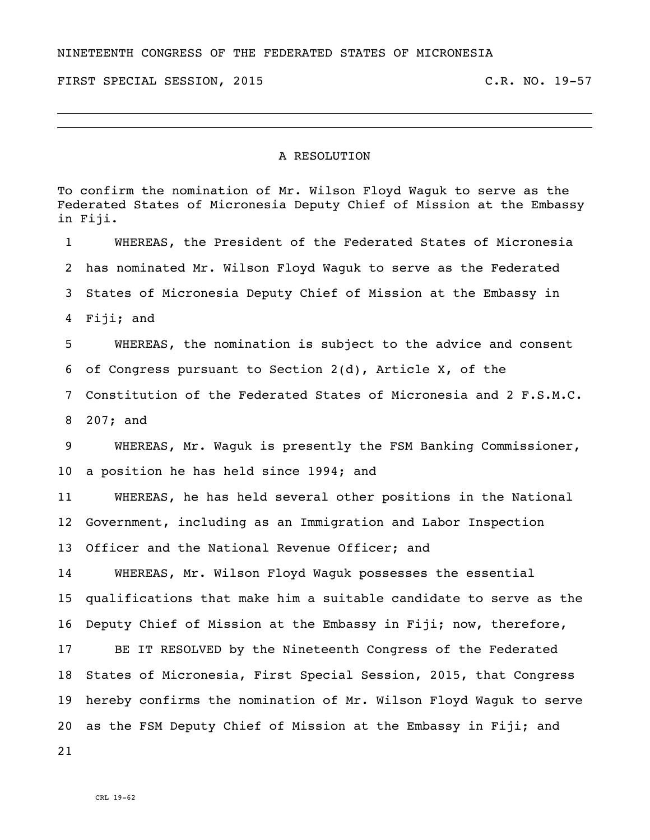NINETEENTH CONGRESS OF THE FEDERATED STATES OF MICRONESIA

FIRST SPECIAL SESSION, 2015 C.R. NO. 19-57

## A RESOLUTION

To confirm the nomination of Mr. Wilson Floyd Waguk to serve as the Federated States of Micronesia Deputy Chief of Mission at the Embassy in Fiji. WHEREAS, the President of the Federated States of Micronesia has nominated Mr. Wilson Floyd Waguk to serve as the Federated States of Micronesia Deputy Chief of Mission at the Embassy in Fiji; and WHEREAS, the nomination is subject to the advice and consent of Congress pursuant to Section 2(d), Article X, of the Constitution of the Federated States of Micronesia and 2 F.S.M.C. 207; and WHEREAS, Mr. Waguk is presently the FSM Banking Commissioner, a position he has held since 1994; and WHEREAS, he has held several other positions in the National Government, including as an Immigration and Labor Inspection Officer and the National Revenue Officer; and WHEREAS, Mr. Wilson Floyd Waguk possesses the essential qualifications that make him a suitable candidate to serve as the Deputy Chief of Mission at the Embassy in Fiji; now, therefore, BE IT RESOLVED by the Nineteenth Congress of the Federated States of Micronesia, First Special Session, 2015, that Congress hereby confirms the nomination of Mr. Wilson Floyd Waguk to serve as the FSM Deputy Chief of Mission at the Embassy in Fiji; and